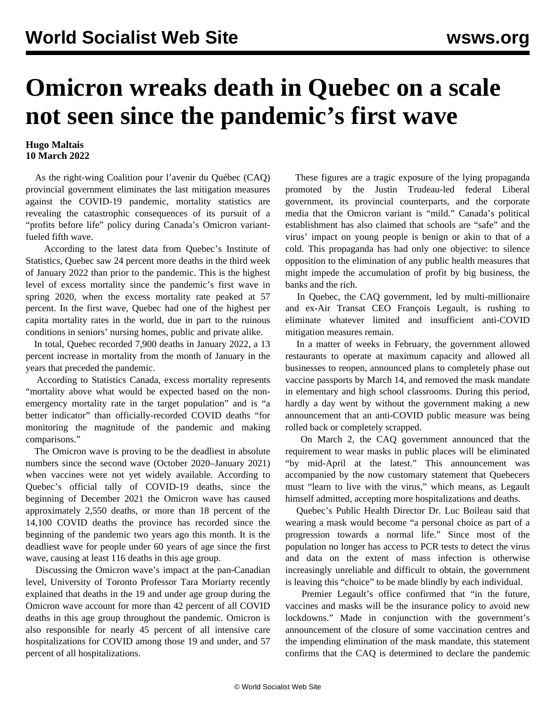## **Omicron wreaks death in Quebec on a scale not seen since the pandemic's first wave**

## **Hugo Maltais 10 March 2022**

 As the right-wing Coalition pour l'avenir du Québec (CAQ) provincial government eliminates the last mitigation measures against the COVID-19 pandemic, mortality statistics are revealing the catastrophic consequences of its pursuit of a "profits before life" policy during Canada's Omicron variantfueled fifth wave.

 According to the latest data from Quebec's Institute of Statistics, Quebec saw 24 percent more deaths in the third week of January 2022 than prior to the pandemic. This is the highest level of excess mortality since the pandemic's first wave in spring 2020, when the excess mortality rate peaked at 57 percent. In the first wave, Quebec had one of the highest per capita mortality rates in the world, due in part to the ruinous conditions [in seniors' nursing homes,](/en/articles/2021/12/14/qbco-d14.html) public and private alike.

 In total, Quebec recorded 7,900 deaths in January 2022, a 13 percent increase in mortality from the month of January in the years that preceded the pandemic.

 According to Statistics Canada, excess mortality represents "mortality above what would be expected based on the nonemergency mortality rate in the target population" and is "a better indicator" than officially-recorded COVID deaths "for monitoring the magnitude of the pandemic and making comparisons."

 The Omicron wave is proving to be the deadliest in absolute numbers since the second wave (October 2020–January 2021) when vaccines were not yet widely available. According to Quebec's official tally of COVID-19 deaths, since the beginning of December 2021 the Omicron wave has caused approximately 2,550 deaths, or more than 18 percent of the 14,100 COVID deaths the province has recorded since the beginning of the pandemic two years ago this month. It is the deadliest wave for people under 60 years of age since the first wave, causing at least 116 deaths in this age group.

 Discussing the Omicron wave's impact at the pan-Canadian level, University of Toronto Professor Tara Moriarty recently explained that deaths in the 19 and under age group during the Omicron wave account for more than 42 percent of all COVID deaths in this age group throughout the pandemic. Omicron is also responsible for nearly 45 percent of all intensive care hospitalizations for COVID among those 19 and under, and 57 percent of all hospitalizations.

 These figures are a tragic exposure of the lying propaganda promoted by the Justin Trudeau-led federal Liberal government, its provincial counterparts, and the corporate media that the Omicron variant is "mild." Canada's political establishment has also claimed that schools are "safe" and the virus' impact on young people is benign or akin to that of a cold. This propaganda has had only one objective: to silence opposition to the elimination of any public health measures that might impede the accumulation of profit by big business, the banks and the rich.

 In Quebec, the CAQ government, led by multi-millionaire and ex-Air Transat CEO François Legault, is rushing to eliminate whatever limited and insufficient anti-COVID mitigation measures remain.

 In a matter of weeks in February, the government allowed restaurants to operate at maximum capacity and allowed all businesses to reopen, announced plans to completely phase out vaccine passports by March 14, and removed the mask mandate in elementary and high school classrooms. During this period, hardly a day went by without the government making a new announcement that an anti-COVID public measure was being rolled back or completely scrapped.

 On March 2, the CAQ government announced that the requirement to wear masks in public places will be eliminated "by mid-April at the latest." This announcement was accompanied by the now customary statement that Quebecers must "learn to live with the virus," which means, as Legault himself admitted, accepting more hospitalizations and deaths.

 Quebec's Public Health Director Dr. Luc Boileau said that wearing a mask would become "a personal choice as part of a progression towards a normal life." Since most of the population no longer has access to PCR tests to detect the virus and data on the extent of mass infection is otherwise increasingly unreliable and difficult to obtain, the government is leaving this "choice" to be made blindly by each individual.

 Premier Legault's office confirmed that "in the future, vaccines and masks will be the insurance policy to avoid new lockdowns." Made in conjunction with the government's announcement of the closure of some vaccination centres and the impending elimination of the mask mandate, this statement confirms that the CAQ is determined to declare the pandemic